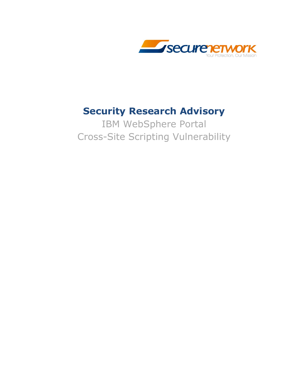

### **Security Research Advisory**

IBM WebSphere Portal Cross-Site Scripting Vulnerability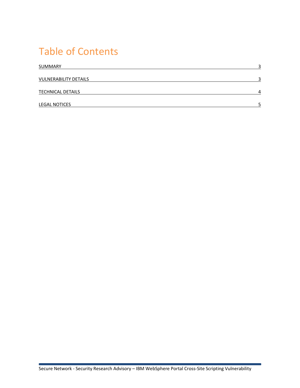## Table of Contents

| SUMMARY                      | ົ |
|------------------------------|---|
| <b>VULNERABILITY DETAILS</b> | ∍ |
| <b>TECHNICAL DETAILS</b>     | Δ |
| <b>LEGAL NOTICES</b>         |   |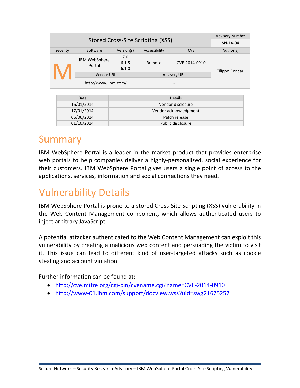| Stored Cross-Site Scripting (XSS) |                         |                       |                     |               | <b>Advisory Number</b> |
|-----------------------------------|-------------------------|-----------------------|---------------------|---------------|------------------------|
|                                   | $SN-14-04$              |                       |                     |               |                        |
| Severity                          | Software                | Version(s)            | Accessibility       | <b>CVE</b>    | Author(s)              |
|                                   | IBM WebSphere<br>Portal | 7.0<br>6.1.5<br>6.1.0 | Remote              | CVE-2014-0910 | Filippo Roncari        |
|                                   | <b>Vendor URL</b>       |                       | <b>Advisory URL</b> |               |                        |
|                                   | http://www.ibm.com/     |                       |                     | ٠             |                        |

| Date       | <b>Details</b>        |
|------------|-----------------------|
| 16/01/2014 | Vendor disclosure     |
| 17/01/2014 | Vendor acknowledgment |
| 06/06/2014 | Patch release         |
| 01/10/2014 | Public disclosure     |

#### Summary

IBM WebSphere Portal is a leader in the market product that provides enterprise web portals to help companies deliver a highly-personalized, social experience for their customers. IBM WebSphere Portal gives users a single point of access to the applications, services, information and social connections they need.

### Vulnerability Details

IBM WebSphere Portal is prone to a stored Cross-Site Scripting (XSS) vulnerability in the Web Content Management component, which allows authenticated users to inject arbitrary JavaScript.

A potential attacker authenticated to the Web Content Management can exploit this vulnerability by creating a malicious web content and persuading the victim to visit it. This issue can lead to different kind of user-targeted attacks such as cookie stealing and account violation.

Further information can be found at:

- http://cve.mitre.org/cgi-bin/cvename.cgi?name=CVE-2014-0910
- http://www-01.ibm.com/support/docview.wss?uid=swg21675257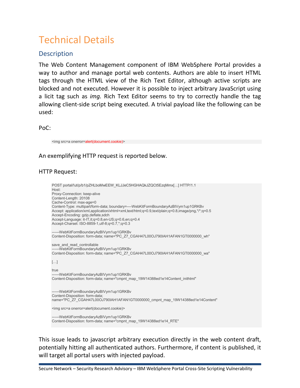## Technical Details

#### **Description**

The Web Content Management component of IBM WebSphere Portal provides a way to author and manage portal web contents. Authors are able to insert HTML tags through the HTML view of the Rich Text Editor, although active scripts are blocked and not executed. However it is possible to inject arbitrary JavaScript using a licit tag such as *img.* Rich Text Editor seems to try to correctly handle the tag allowing client-side script being executed. A trivial payload like the following can be used:

PoC:

<img src=a onerror=alert(document.cookie)>

#### An exemplifying HTTP request is reported below.

#### HTTP Request:



This issue leads to javascript arbitrary execution directly in the web content draft, potentially hitting all authenticated authors. Furthermore, if content is published, it will target all portal users with injected payload.

Secure Network – Security Research Advisory – IBM WebSphere Portal Cross-Site Scripting Vulnerability